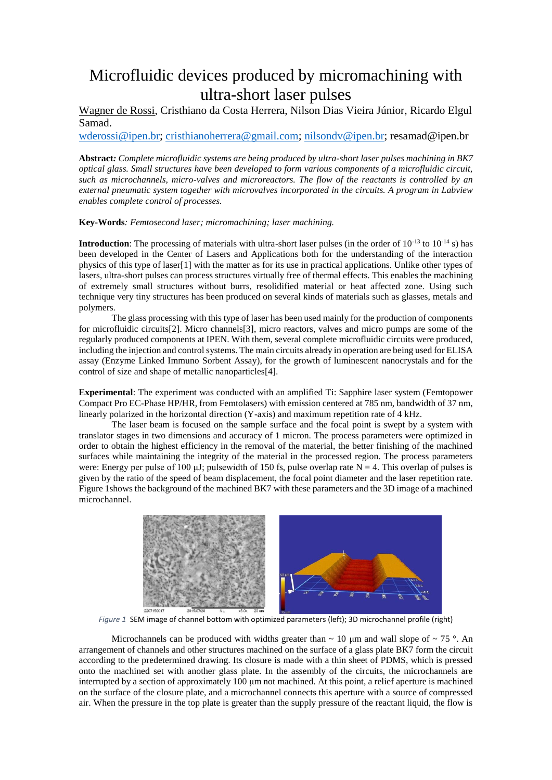## Microfluidic devices produced by micromachining with ultra-short laser pulses

Wagner de Rossi, Cristhiano da Costa Herrera, Nilson Dias Vieira Júnior, Ricardo Elgul Samad.

[wderossi@ipen.br;](mailto:wderossi@ipen.br) [cristhianoherrera@gmail.com;](mailto:cristhianoherrera@gmail.com) [nilsondv@ipen.br;](mailto:nilsondv@ipen.br) resamad@ipen.br

**Abstract***: Complete microfluidic systems are being produced by ultra-short laser pulses machining in BK7 optical glass. Small structures have been developed to form various components of a microfluidic circuit, such as microchannels, micro-valves and microreactors. The flow of the reactants is controlled by an external pneumatic system together with microvalves incorporated in the circuits. A program in Labview enables complete control of processes.*

**Key-Words***: Femtosecond laser; micromachining; laser machining.*

**Introduction**: The processing of materials with ultra-short laser pulses (in the order of 10<sup>-13</sup> to 10<sup>-14</sup> s) has been developed in the Center of Lasers and Applications both for the understanding of the interaction physics of this type of laser[1] with the matter as for its use in practical applications. Unlike other types of lasers, ultra-short pulses can process structures virtually free of thermal effects. This enables the machining of extremely small structures without burrs, resolidified material or heat affected zone. Using such technique very tiny structures has been produced on several kinds of materials such as glasses, metals and polymers.

The glass processing with this type of laser has been used mainly for the production of components for microfluidic circuits[2]. Micro channels[3], micro reactors, valves and micro pumps are some of the regularly produced components at IPEN. With them, several complete microfluidic circuits were produced, including the injection and control systems. The main circuits already in operation are being used for ELISA assay (Enzyme Linked Immuno Sorbent Assay), for the growth of luminescent nanocrystals and for the control of size and shape of metallic nanoparticles[4].

**Experimental**: The experiment was conducted with an amplified Ti: Sapphire laser system (Femtopower Compact Pro EC-Phase HP/HR, from Femtolasers) with emission centered at 785 nm, bandwidth of 37 nm, linearly polarized in the horizontal direction (Y-axis) and maximum repetition rate of 4 kHz.

The laser beam is focused on the sample surface and the focal point is swept by a system with translator stages in two dimensions and accuracy of 1 micron. The process parameters were optimized in order to obtain the highest efficiency in the removal of the material, the better finishing of the machined surfaces while maintaining the integrity of the material in the processed region. The process parameters were: Energy per pulse of 100  $\mu$ J; pulsewidth of 150 fs, pulse overlap rate N = 4. This overlap of pulses is given by the ratio of the speed of beam displacement, the focal point diameter and the laser repetition rate. [Figure 1s](#page-0-0)hows the background of the machined BK7 with these parameters and the 3D image of a machined microchannel.



*Figure 1* SEM image of channel bottom with optimized parameters (left); 3D microchannel profile (right)

<span id="page-0-0"></span>Microchannels can be produced with widths greater than  $\sim 10 \mu$ m and wall slope of  $\sim 75$  °. An arrangement of channels and other structures machined on the surface of a glass plate BK7 form the circuit according to the predetermined drawing. Its closure is made with a thin sheet of PDMS, which is pressed onto the machined set with another glass plate. In the assembly of the circuits, the microchannels are interrupted by a section of approximately 100 μm not machined. At this point, a relief aperture is machined on the surface of the closure plate, and a microchannel connects this aperture with a source of compressed air. When the pressure in the top plate is greater than the supply pressure of the reactant liquid, the flow is